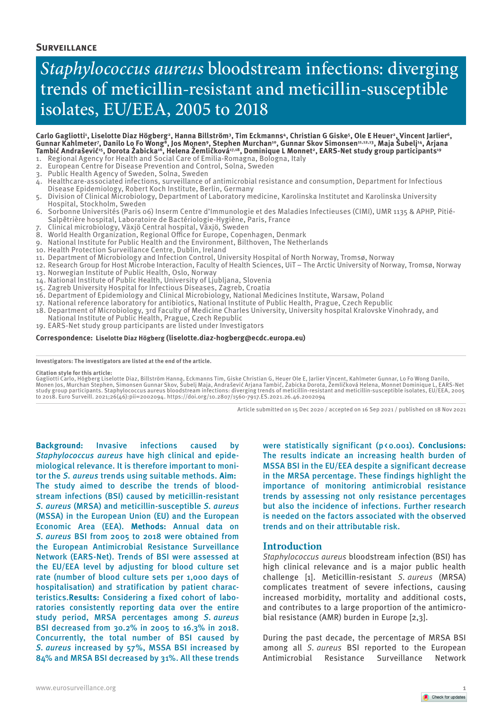## **Surveillance**

# *Staphylococcus aureus* bloodstream infections: diverging trends of meticillin-resistant and meticillin-susceptible isolates, EU/EEA, 2005 to 2018

#### Carlo Gagliotti<sup>1</sup>, Liselotte Diaz Högberg<sup>2</sup>, Hanna Billström<sup>3</sup>, Tim Eckmanns<sup>4</sup>, Christian G Giske<sup>s</sup>, Ole E Heuer<sup>2</sup>, Vincent Jarlier<sup>6</sup>, Gunnar Kahlmeter<sup>7</sup>, Danilo Lo Fo Wong<sup>8</sup>, Jos Monen°, Stephen Murchan1º, Gunnar Skov Simonsen11,12,13, Maja Subelj<sup>14</sup>, Arjana Tambić Andrašević<sup>15</sup>, Dorota Žabicka<sup>16</sup>, Helena Zemličková<sup>17,18</sup>, Dominique L Monnet<sup>2</sup>, EARS-Net study group participants<sup>19</sup>

- 1. Regional Agency for Health and Social Care of Emilia-Romagna, Bologna, Italy
- 2. European Centre for Disease Prevention and Control, Solna, Sweden
- 3. Public Health Agency of Sweden, Solna, Sweden
- 4. Healthcare-associated infections, surveillance of antimicrobial resistance and consumption, Department for Infectious Disease Epidemiology, Robert Koch Institute, Berlin, Germany
- 5. Division of Clinical Microbiology, Department of Laboratory medicine, Karolinska Institutet and Karolinska University Hospital, Stockholm, Sweden
- 6. Sorbonne Universités (Paris 06) Inserm Centre d'Immunologie et des Maladies Infectieuses (CIMI), UMR 1135 & APHP, Pitié-Salpêtrière hospital, Laboratoire de Bactériologie-Hygiène, Paris, France
- 7. Clinical microbiology, Växjö Central hospital, Växjö, Sweden
- 8. World Health Organization, Regional Office for Europe, Copenhagen, Denmark
- 9. National Institute for Public Health and the Environment, Bilthoven, The Netherlands
- 10. Health Protection Surveillance Centre, Dublin, Ireland
- 11. Department of Microbiology and Infection Control, University Hospital of North Norway, Tromsø, Norway
- 12. Research Group for Host Microbe Interaction, Faculty of Health Sciences, UiT The Arctic University of Norway, Tromsø, Norway 13. Norwegian Institute of Public Health, Oslo, Norway
- 14. National Institute of Public Health, University of Ljubljana, Slovenia
- 
- 15. Zagreb University Hospital for Infectious Diseases, Zagreb, Croatia 16. Department of Epidemiology and Clinical Microbiology, National Medicines Institute, Warsaw, Poland
- 
- 17. National reference laboratory for antibiotics, National Institute of Public Health, Prague, Czech Republic 18. Department of Microbiology, 3rd Faculty of Medicine Charles University, University hospital Kralovske Vinohrady, and
- National Institute of Public Health, Prague, Czech Republic 19. EARS-Net study group participants are listed under Investigators

#### **Correspondence: Liselotte Diaz Högberg (liselotte.diaz-hogberg@ecdc.europa.eu)**

**Investigators: The investigators are listed at the end of the article.**

#### **Citation style for this article:**

Gagliotti Carlo, Högberg Liselotte Diaz, Billström Hanna, Eckmanns Tim, Giske Christian G, Heuer Ole E, Jarlier Vincent, Kahlmeter Gunnar, Lo Fo Wong Danilo,<br>Monen Jos, Murchan Stephen, Simonsen Gunnar Skov, Subelj Maja, A to 2018. Euro Surveill. 2021;26(46):pii=2002094. https://doi.org/10.2807/1560-7917.ES.2021.26.46.2002094

Article submitted on 15 Dec 2020 / accepted on 16 Sep 2021 / published on 18 Nov 2021

**Background:** Invasive infections caused by *Staphylococcus aureus* have high clinical and epidemiological relevance. It is therefore important to monitor the *S. aureus* trends using suitable methods. **Aim:** The study aimed to describe the trends of bloodstream infections (BSI) caused by meticillin-resistant *S. aureus* (MRSA) and meticillin-susceptible *S. aureus* (MSSA) in the European Union (EU) and the European Economic Area (EEA). **Methods:** Annual data on *S. aureus* BSI from 2005 to 2018 were obtained from the European Antimicrobial Resistance Surveillance Network (EARS-Net). Trends of BSI were assessed at the EU/EEA level by adjusting for blood culture set rate (number of blood culture sets per 1,000 days of hospitalisation) and stratification by patient characteristics.**Results:** Considering a fixed cohort of laboratories consistently reporting data over the entire study period, MRSA percentages among *S. aureus* BSI decreased from 30.2% in 2005 to 16.3% in 2018. Concurrently, the total number of BSI caused by *S. aureus* increased by 57%, MSSA BSI increased by 84% and MRSA BSI decreased by 31%. All these trends

were statistically significant (p<0.001). **Conclusions:** The results indicate an increasing health burden of MSSA BSI in the EU/EEA despite a significant decrease in the MRSA percentage. These findings highlight the importance of monitoring antimicrobial resistance trends by assessing not only resistance percentages but also the incidence of infections. Further research is needed on the factors associated with the observed trends and on their attributable risk.

## **Introduction**

*Staphylococcus aureus* bloodstream infection (BSI) has high clinical relevance and is a major public health challenge [1]. Meticillin-resistant *S. aureus* (MRSA) complicates treatment of severe infections, causing increased morbidity, mortality and additional costs, and contributes to a large proportion of the antimicrobial resistance (AMR) burden in Europe [2,3].

During the past decade, the percentage of MRSA BSI among all *S. aureus* BSI reported to the European Antimicrobial Resistance Surveillance Network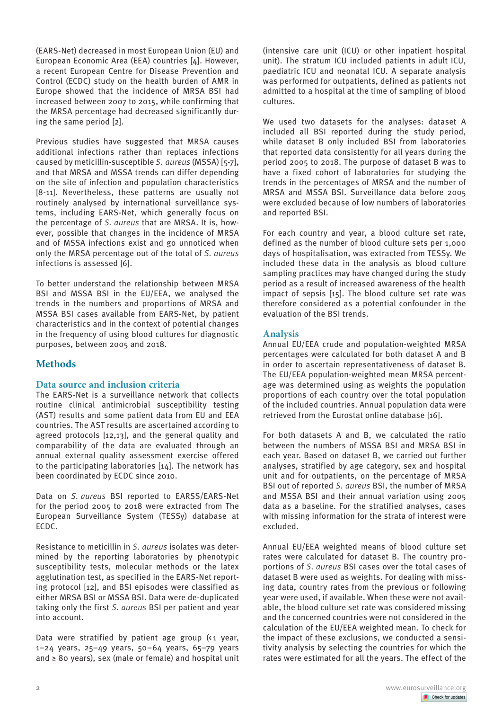(EARS-Net) decreased in most European Union (EU) and European Economic Area (EEA) countries [4]. However, a recent European Centre for Disease Prevention and Control (ECDC) study on the health burden of AMR in Europe showed that the incidence of MRSA BSI had increased between 2007 to 2015, while confirming that the MRSA percentage had decreased significantly during the same period [2].

Previous studies have suggested that MRSA causes additional infections rather than replaces infections caused by meticillin-susceptible *S. aureus* (MSSA) [5-7], and that MRSA and MSSA trends can differ depending on the site of infection and population characteristics [8-11]. Nevertheless, these patterns are usually not routinely analysed by international surveillance systems, including EARS-Net, which generally focus on the percentage of *S. aureus* that are MRSA. It is, however, possible that changes in the incidence of MRSA and of MSSA infections exist and go unnoticed when only the MRSA percentage out of the total of *S. aureus* infections is assessed [6].

To better understand the relationship between MRSA BSI and MSSA BSI in the EU/EEA, we analysed the trends in the numbers and proportions of MRSA and MSSA BSI cases available from EARS-Net, by patient characteristics and in the context of potential changes in the frequency of using blood cultures for diagnostic purposes, between 2005 and 2018.

# **Methods**

## **Data source and inclusion criteria**

The EARS-Net is a surveillance network that collects routine clinical antimicrobial susceptibility testing (AST) results and some patient data from EU and EEA countries. The AST results are ascertained according to agreed protocols [12,13], and the general quality and comparability of the data are evaluated through an annual external quality assessment exercise offered to the participating laboratories [14]. The network has been coordinated by ECDC since 2010.

Data on *S. aureus* BSI reported to EARSS/EARS-Net for the period 2005 to 2018 were extracted from The European Surveillance System (TESSy) database at ECDC.

Resistance to meticillin in *S. aureus* isolates was determined by the reporting laboratories by phenotypic susceptibility tests, molecular methods or the latex agglutination test, as specified in the EARS-Net reporting protocol [12], and BSI episodes were classified as either MRSA BSI or MSSA BSI. Data were de-duplicated taking only the first *S. aureus* BSI per patient and year into account.

Data were stratified by patient age group  $(1$  year, 1–24 years, 25–49 years, 50–64 years, 65–79 years and ≥ 80 years), sex (male or female) and hospital unit (intensive care unit (ICU) or other inpatient hospital unit). The stratum ICU included patients in adult ICU, paediatric ICU and neonatal ICU. A separate analysis was performed for outpatients, defined as patients not admitted to a hospital at the time of sampling of blood cultures.

We used two datasets for the analyses: dataset A included all BSI reported during the study period, while dataset B only included BSI from laboratories that reported data consistently for all years during the period 2005 to 2018. The purpose of dataset B was to have a fixed cohort of laboratories for studying the trends in the percentages of MRSA and the number of MRSA and MSSA BSI. Surveillance data before 2005 were excluded because of low numbers of laboratories and reported BSI.

For each country and year, a blood culture set rate, defined as the number of blood culture sets per 1,000 days of hospitalisation, was extracted from TESSy. We included these data in the analysis as blood culture sampling practices may have changed during the study period as a result of increased awareness of the health impact of sepsis [15]. The blood culture set rate was therefore considered as a potential confounder in the evaluation of the BSI trends.

# **Analysis**

Annual EU/EEA crude and population-weighted MRSA percentages were calculated for both dataset A and B in order to ascertain representativeness of dataset B. The EU/EEA population-weighted mean MRSA percentage was determined using as weights the population proportions of each country over the total population of the included countries. Annual population data were retrieved from the Eurostat online database [16].

For both datasets A and B, we calculated the ratio between the numbers of MSSA BSI and MRSA BSI in each year. Based on dataset B, we carried out further analyses, stratified by age category, sex and hospital unit and for outpatients, on the percentage of MRSA BSI out of reported *S. aureus* BSI, the number of MRSA and MSSA BSI and their annual variation using 2005 data as a baseline. For the stratified analyses, cases with missing information for the strata of interest were excluded.

Annual EU/EEA weighted means of blood culture set rates were calculated for dataset B. The country proportions of *S. aureus* BSI cases over the total cases of dataset B were used as weights. For dealing with missing data, country rates from the previous or following year were used, if available. When these were not available, the blood culture set rate was considered missing and the concerned countries were not considered in the calculation of the EU/EEA weighted mean. To check for the impact of these exclusions, we conducted a sensitivity analysis by selecting the countries for which the rates were estimated for all the years. The effect of the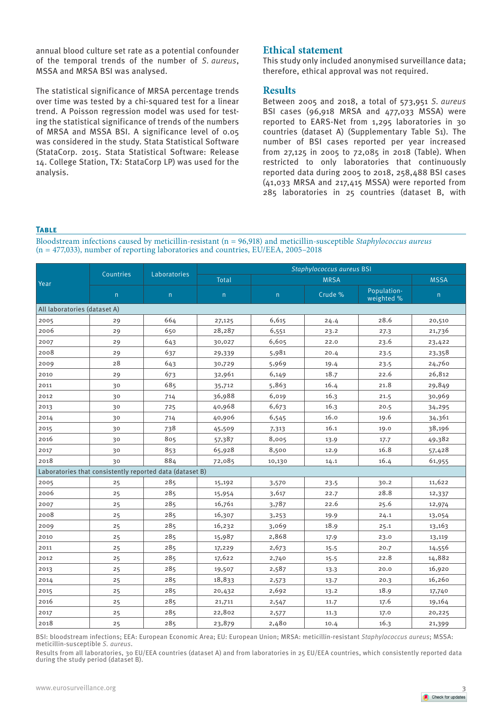annual blood culture set rate as a potential confounder of the temporal trends of the number of *S. aureus*, MSSA and MRSA BSI was analysed.

The statistical significance of MRSA percentage trends over time was tested by a chi-squared test for a linear trend. A Poisson regression model was used for testing the statistical significance of trends of the numbers of MRSA and MSSA BSI. A significance level of 0.05 was considered in the study. Stata Statistical Software (StataCorp. 2015. Stata Statistical Software: Release 14. College Station, TX: StataCorp LP) was used for the analysis.

# **Ethical statement**

This study only included anonymised surveillance data; therefore, ethical approval was not required.

## **Results**

Between 2005 and 2018, a total of 573,951 *S. aureus* BSI cases (96,918 MRSA and 477,033 MSSA) were reported to EARS-Net from 1,295 laboratories in 30 countries (dataset A) (Supplementary Table S1). The number of BSI cases reported per year increased from 27,125 in 2005 to 72,085 in 2018 (Table). When restricted to only laboratories that continuously reported data during 2005 to 2018, 258,488 BSI cases (41,033 MRSA and 217,415 MSSA) were reported from 285 laboratories in 25 countries (dataset B, with

### **Table**

Bloodstream infections caused by meticillin-resistant (n = 96,918) and meticillin-susceptible *Staphylococcus aureus* (n = 477,033), number of reporting laboratories and countries, EU/EEA, 2005–2018

| Year                                                     | Countries | Laboratories | Staphylococcus aureus BSI |        |             |                           |             |
|----------------------------------------------------------|-----------|--------------|---------------------------|--------|-------------|---------------------------|-------------|
|                                                          |           |              | Total                     |        | <b>MRSA</b> |                           | <b>MSSA</b> |
|                                                          | n         | n            | n                         | n      | Crude %     | Population-<br>weighted % | n           |
| All laboratories (dataset A)                             |           |              |                           |        |             |                           |             |
| 2005                                                     | 29        | 664          | 27,125                    | 6,615  | 24.4        | 28.6                      | 20,510      |
| 2006                                                     | 29        | 650          | 28,287                    | 6,551  | 23.2        | 27.3                      | 21,736      |
| 2007                                                     | 29        | 643          | 30,027                    | 6,605  | 22.0        | 23.6                      | 23,422      |
| 2008                                                     | 29        | 637          | 29,339                    | 5,981  | 20.4        | 23.5                      | 23,358      |
| 2009                                                     | 28        | 643          | 30,729                    | 5,969  | 19.4        | 23.5                      | 24,760      |
| 2010                                                     | 29        | 673          | 32,961                    | 6,149  | 18.7        | 22.6                      | 26,812      |
| 2011                                                     | 30        | 685          | 35,712                    | 5,863  | 16.4        | 21.8                      | 29,849      |
| 2012                                                     | 30        | 714          | 36,988                    | 6,019  | 16.3        | 21.5                      | 30,969      |
| 2013                                                     | 30        | 725          | 40,968                    | 6,673  | 16.3        | 20.5                      | 34,295      |
| 2014                                                     | 30        | 714          | 40,906                    | 6,545  | 16.0        | 19.6                      | 34,361      |
| 2015                                                     | 30        | 738          | 45,509                    | 7,313  | 16.1        | 19.0                      | 38,196      |
| 2016                                                     | 30        | 805          | 57,387                    | 8,005  | 13.9        | 17.7                      | 49,382      |
| 2017                                                     | 30        | 853          | 65,928                    | 8,500  | 12.9        | 16.8                      | 57,428      |
| 2018                                                     | 30        | 884          | 72,085                    | 10,130 | 14.1        | 16.4                      | 61,955      |
| Laboratories that consistently reported data (dataset B) |           |              |                           |        |             |                           |             |
| 2005                                                     | 25        | 285          | 15,192                    | 3,570  | 23.5        | 30.2                      | 11,622      |
| 2006                                                     | 25        | 285          | 15,954                    | 3,617  | 22.7        | 28.8                      | 12,337      |
| 2007                                                     | 25        | 285          | 16,761                    | 3,787  | 22.6        | 25.6                      | 12,974      |
| 2008                                                     | 25        | 285          | 16,307                    | 3,253  | 19.9        | 24.1                      | 13,054      |
| 2009                                                     | 25        | 285          | 16,232                    | 3,069  | 18.9        | 25.1                      | 13,163      |
| 2010                                                     | 25        | 285          | 15,987                    | 2,868  | 17.9        | 23.0                      | 13,119      |
| 2011                                                     | 25        | 285          | 17,229                    | 2,673  | 15.5        | 20.7                      | 14,556      |
| 2012                                                     | 25        | 285          | 17,622                    | 2,740  | 15.5        | 22.8                      | 14,882      |
| 2013                                                     | 25        | 285          | 19,507                    | 2,587  | 13.3        | 20.0                      | 16,920      |
| 2014                                                     | 25        | 285          | 18,833                    | 2,573  | 13.7        | 20.3                      | 16,260      |
| 2015                                                     | 25        | 285          | 20,432                    | 2,692  | 13.2        | 18.9                      | 17,740      |
| 2016                                                     | 25        | 285          | 21,711                    | 2,547  | 11.7        | 17.6                      | 19,164      |
| 2017                                                     | 25        | 285          | 22,802                    | 2,577  | 11.3        | 17.0                      | 20,225      |
| 2018                                                     | 25        | 285          | 23,879                    | 2,480  | 10.4        | 16.3                      | 21,399      |

BSI: bloodstream infections; EEA: European Economic Area; EU: European Union; MRSA: meticillin-resistant *Staphylococcus aureus*; MSSA: meticillin-susceptible *S. aureus*.

Results from all laboratories, 30 EU/EEA countries (dataset A) and from laboratories in 25 EU/EEA countries, which consistently reported data during the study period (dataset B).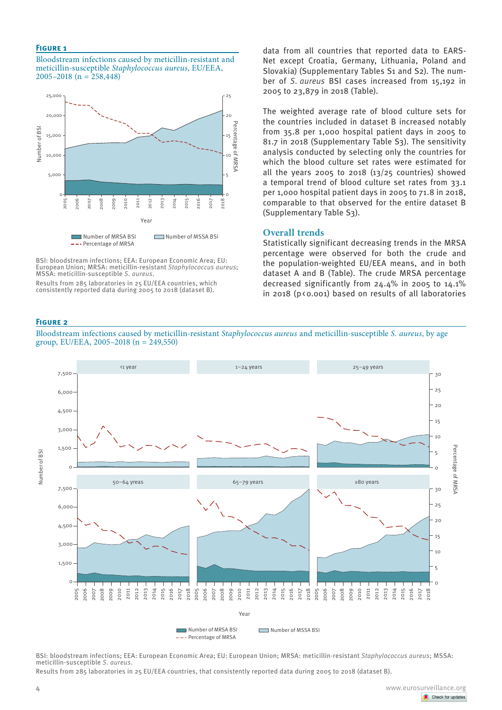#### **Figure 1**

Bloodstream infections caused by meticillin-resistant and meticillin-susceptible *Staphylococcus aureus*, EU/EEA, 2005–2018 (n = 258,448)



BSI: bloodstream infections; EEA: European Economic Area; EU: European Union; MRSA: meticillin-resistant *Staphylococcus aureus*; MSSA: meticillin-susceptible *S. aureus*.

Results from 285 laboratories in 25 EU/EEA countries, which consistently reported data during 2005 to 2018 (dataset B).

data from all countries that reported data to EARS-Net except Croatia, Germany, Lithuania, Poland and Slovakia) (Supplementary Tables S1 and S2). The number of *S. aureus* BSI cases increased from 15,192 in 2005 to 23,879 in 2018 (Table).

The weighted average rate of blood culture sets for the countries included in dataset B increased notably from 35.8 per 1,000 hospital patient days in 2005 to 81.7 in 2018 (Supplementary Table S3). The sensitivity analysis conducted by selecting only the countries for which the blood culture set rates were estimated for all the years 2005 to 2018  $(13/25$  countries) showed a temporal trend of blood culture set rates from 33.1 per 1,000 hospital patient days in 2005 to 71.8 in 2018, comparable to that observed for the entire dataset B (Supplementary Table S3).

## **Overall trends**

Statistically significant decreasing trends in the MRSA percentage were observed for both the crude and the population-weighted EU/EEA means, and in both dataset A and B (Table). The crude MRSA percentage decreased significantly from 24.4% in 2005 to 14.1% in 2018 (p(0.001) based on results of all laboratories

#### **Figure 2**



Bloodstream infections caused by meticillin-resistant *Staphylococcus aureus* and meticillin-susceptible *S. aureus*, by age

BSI: bloodstream infections; EEA: European Economic Area; EU: European Union; MRSA: meticillin-resistant *Staphylococcus aureus*; MSSA: meticillin-susceptible *S. aureus*.

Results from 285 laboratories in 25 EU/EEA countries, that consistently reported data during 2005 to 2018 (dataset B).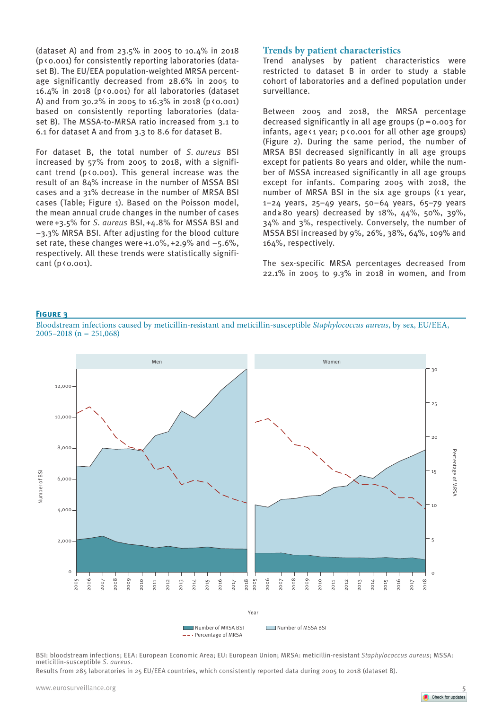(dataset A) and from 23.5% in 2005 to 10.4% in 2018 (p<0.001) for consistently reporting laboratories (dataset B). The EU/EEA population-weighted MRSA percentage significantly decreased from 28.6% in 2005 to  $16.4\%$  in 2018 (p<0.001) for all laboratories (dataset A) and from 30.2% in 2005 to 16.3% in 2018 ( $p \times 0.001$ ) based on consistently reporting laboratories (dataset B). The MSSA-to-MRSA ratio increased from 3.1 to 6.1 for dataset A and from 3.3 to 8.6 for dataset B.

For dataset B, the total number of *S. aureus* BSI increased by 57% from 2005 to 2018, with a significant trend ( $p \triangleleft 0.001$ ). This general increase was the result of an 84% increase in the number of MSSA BSI cases and a 31% decrease in the number of MRSA BSI cases (Table; Figure 1). Based on the Poisson model, the mean annual crude changes in the number of cases were+3.5% for *S. aureus* BSI,+4.8% for MSSA BSI and −3.3% MRSA BSI. After adjusting for the blood culture set rate, these changes were+1.0%,+2.9% and −5.6%, respectively. All these trends were statistically significant  $(p \triangleleft 0.001)$ .

# **Trends by patient characteristics**

Trend analyses by patient characteristics were restricted to dataset B in order to study a stable cohort of laboratories and a defined population under surveillance.

Between 2005 and 2018, the MRSA percentage decreased significantly in all age groups (p=0.003 for infants, age $\langle 1 \rangle$  year; p $\langle 0.001 \rangle$  for all other age groups) (Figure 2). During the same period, the number of MRSA BSI decreased significantly in all age groups except for patients 80 years and older, while the number of MSSA increased significantly in all age groups except for infants. Comparing 2005 with 2018, the number of MRSA BSI in the six age groups (<1 year, 1–24 years, 25–49 years, 50–64 years, 65–79 years and≥80 years) decreased by 18%, 44%, 50%, 39%, 34% and 3%, respectively. Conversely, the number of MSSA BSI increased by 9%, 26%, 38%, 64%, 109% and 164%, respectively.

The sex-specific MRSA percentages decreased from 22.1% in 2005 to 9.3% in 2018 in women, and from

#### **Figure 3**

Bloodstream infections caused by meticillin-resistant and meticillin-susceptible *Staphylococcus aureus*, by sex, EU/EEA, 2005–2018 ( $n = 251,068$ )



BSI: bloodstream infections; EEA: European Economic Area; EU: European Union; MRSA: meticillin-resistant *Staphylococcus aureus*; MSSA: meticillin-susceptible *S. aureus*.

Results from 285 laboratories in 25 EU/EEA countries, which consistently reported data during 2005 to 2018 (dataset B).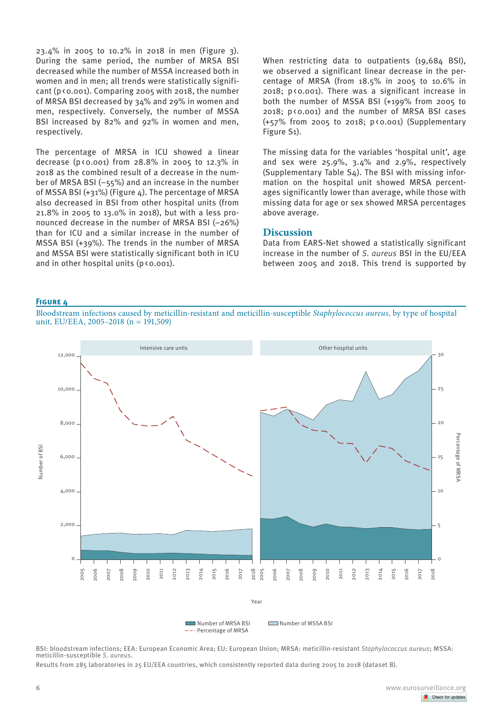23.4% in 2005 to 10.2% in 2018 in men (Figure 3). During the same period, the number of MRSA BSI decreased while the number of MSSA increased both in women and in men; all trends were statistically significant ( $p \times 0.001$ ). Comparing 2005 with 2018, the number of MRSA BSI decreased by 34% and 29% in women and men, respectively. Conversely, the number of MSSA BSI increased by 82% and 92% in women and men, respectively.

The percentage of MRSA in ICU showed a linear decrease ( $p \times 0.001$ ) from 28.8% in 2005 to 12.3% in 2018 as the combined result of a decrease in the number of MRSA BSI (−55%) and an increase in the number of MSSA BSI (+31%) (Figure 4). The percentage of MRSA also decreased in BSI from other hospital units (from 21.8% in 2005 to 13.0% in 2018), but with a less pronounced decrease in the number of MRSA BSI (−26%) than for ICU and a similar increase in the number of MSSA BSI (+39%). The trends in the number of MRSA and MSSA BSI were statistically significant both in ICU and in other hospital units  $(p \triangleleft 0.001)$ .

When restricting data to outpatients (19,684 BSI), we observed a significant linear decrease in the percentage of MRSA (from 18.5% in 2005 to 10.6% in 2018; p<0.001). There was a significant increase in both the number of MSSA BSI (+199% from 2005 to 2018; p<0.001) and the number of MRSA BSI cases (+57% from 2005 to 2018; p<0.001) (Supplementary Figure S1).

The missing data for the variables 'hospital unit', age and sex were 25.9%, 3.4% and 2.9%, respectively (Supplementary Table S4). The BSI with missing information on the hospital unit showed MRSA percentages significantly lower than average, while those with missing data for age or sex showed MRSA percentages above average.

## **Discussion**

Data from EARS-Net showed a statistically significant increase in the number of *S. aureus* BSI in the EU/EEA between 2005 and 2018. This trend is supported by

#### **Figure 4**

Bloodstream infections caused by meticillin-resistant and meticillin-susceptible *Staphylococcus aureus*, by type of hospital unit, EU/EEA, 2005–2018 (n =  $191,509$ )



BSI: bloodstream infections; EEA: European Economic Area; EU: European Union; MRSA: meticillin-resistant *Staphylococcus aureus*; MSSA: meticillin-susceptible *S. aureus*.

Results from 285 laboratories in 25 EU/EEA countries, which consistently reported data during 2005 to 2018 (dataset B).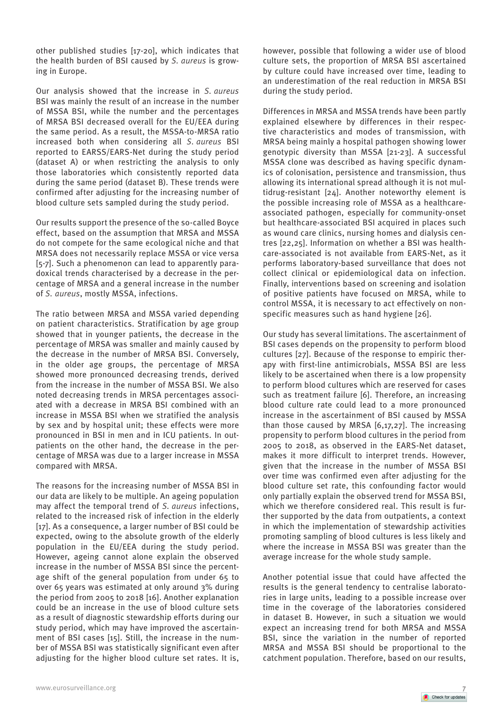other published studies [17-20], which indicates that the health burden of BSI caused by *S. aureus* is growing in Europe.

Our analysis showed that the increase in *S. aureus* BSI was mainly the result of an increase in the number of MSSA BSI, while the number and the percentages of MRSA BSI decreased overall for the EU/EEA during the same period. As a result, the MSSA-to-MRSA ratio increased both when considering all *S. aureus* BSI reported to EARSS/EARS-Net during the study period (dataset A) or when restricting the analysis to only those laboratories which consistently reported data during the same period (dataset B). These trends were confirmed after adjusting for the increasing number of blood culture sets sampled during the study period.

Our results support the presence of the so-called Boyce effect, based on the assumption that MRSA and MSSA do not compete for the same ecological niche and that MRSA does not necessarily replace MSSA or vice versa [5-7]. Such a phenomenon can lead to apparently paradoxical trends characterised by a decrease in the percentage of MRSA and a general increase in the number of *S. aureus*, mostly MSSA, infections.

The ratio between MRSA and MSSA varied depending on patient characteristics. Stratification by age group showed that in younger patients, the decrease in the percentage of MRSA was smaller and mainly caused by the decrease in the number of MRSA BSI. Conversely, in the older age groups, the percentage of MRSA showed more pronounced decreasing trends, derived from the increase in the number of MSSA BSI. We also noted decreasing trends in MRSA percentages associated with a decrease in MRSA BSI combined with an increase in MSSA BSI when we stratified the analysis by sex and by hospital unit; these effects were more pronounced in BSI in men and in ICU patients. In outpatients on the other hand, the decrease in the percentage of MRSA was due to a larger increase in MSSA compared with MRSA.

The reasons for the increasing number of MSSA BSI in our data are likely to be multiple. An ageing population may affect the temporal trend of *S. aureus* infections, related to the increased risk of infection in the elderly [17]. As a consequence, a larger number of BSI could be expected, owing to the absolute growth of the elderly population in the EU/EEA during the study period. However, ageing cannot alone explain the observed increase in the number of MSSA BSI since the percentage shift of the general population from under 65 to over 65 years was estimated at only around 3% during the period from 2005 to 2018 [16]. Another explanation could be an increase in the use of blood culture sets as a result of diagnostic stewardship efforts during our study period, which may have improved the ascertainment of BSI cases [15]. Still, the increase in the number of MSSA BSI was statistically significant even after adjusting for the higher blood culture set rates. It is, however, possible that following a wider use of blood culture sets, the proportion of MRSA BSI ascertained by culture could have increased over time, leading to an underestimation of the real reduction in MRSA BSI during the study period.

Differences in MRSA and MSSA trends have been partly explained elsewhere by differences in their respective characteristics and modes of transmission, with MRSA being mainly a hospital pathogen showing lower genotypic diversity than MSSA [21-23]. A successful MSSA clone was described as having specific dynamics of colonisation, persistence and transmission, thus allowing its international spread although it is not multidrug-resistant [24]. Another noteworthy element is the possible increasing role of MSSA as a healthcareassociated pathogen, especially for community-onset but healthcare-associated BSI acquired in places such as wound care clinics, nursing homes and dialysis centres [22,25]. Information on whether a BSI was healthcare-associated is not available from EARS-Net, as it performs laboratory-based surveillance that does not collect clinical or epidemiological data on infection. Finally, interventions based on screening and isolation of positive patients have focused on MRSA, while to control MSSA, it is necessary to act effectively on nonspecific measures such as hand hygiene [26].

Our study has several limitations. The ascertainment of BSI cases depends on the propensity to perform blood cultures [27]. Because of the response to empiric therapy with first-line antimicrobials, MSSA BSI are less likely to be ascertained when there is a low propensity to perform blood cultures which are reserved for cases such as treatment failure [6]. Therefore, an increasing blood culture rate could lead to a more pronounced increase in the ascertainment of BSI caused by MSSA than those caused by MRSA [6,17,27]. The increasing propensity to perform blood cultures in the period from 2005 to 2018, as observed in the EARS-Net dataset, makes it more difficult to interpret trends. However, given that the increase in the number of MSSA BSI over time was confirmed even after adjusting for the blood culture set rate, this confounding factor would only partially explain the observed trend for MSSA BSI, which we therefore considered real. This result is further supported by the data from outpatients, a context in which the implementation of stewardship activities promoting sampling of blood cultures is less likely and where the increase in MSSA BSI was greater than the average increase for the whole study sample.

Another potential issue that could have affected the results is the general tendency to centralise laboratories in large units, leading to a possible increase over time in the coverage of the laboratories considered in dataset B. However, in such a situation we would expect an increasing trend for both MRSA and MSSA BSI, since the variation in the number of reported MRSA and MSSA BSI should be proportional to the catchment population. Therefore, based on our results,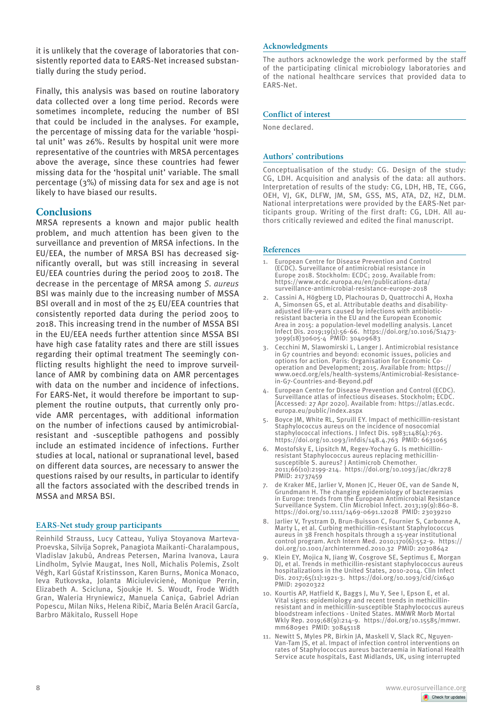it is unlikely that the coverage of laboratories that consistently reported data to EARS-Net increased substantially during the study period.

Finally, this analysis was based on routine laboratory data collected over a long time period. Records were sometimes incomplete, reducing the number of BSI that could be included in the analyses. For example, the percentage of missing data for the variable 'hospital unit' was 26%. Results by hospital unit were more representative of the countries with MRSA percentages above the average, since these countries had fewer missing data for the 'hospital unit' variable. The small percentage (3%) of missing data for sex and age is not likely to have biased our results.

# **Conclusions**

MRSA represents a known and major public health problem, and much attention has been given to the surveillance and prevention of MRSA infections. In the EU/EEA, the number of MRSA BSI has decreased significantly overall, but was still increasing in several EU/EEA countries during the period 2005 to 2018. The decrease in the percentage of MRSA among *S. aureus* BSI was mainly due to the increasing number of MSSA BSI overall and in most of the 25 EU/EEA countries that consistently reported data during the period 2005 to 2018. This increasing trend in the number of MSSA BSI in the EU/EEA needs further attention since MSSA BSI have high case fatality rates and there are still issues regarding their optimal treatment The seemingly conflicting results highlight the need to improve surveillance of AMR by combining data on AMR percentages with data on the number and incidence of infections. For EARS-Net, it would therefore be important to supplement the routine outputs, that currently only provide AMR percentages, with additional information on the number of infections caused by antimicrobialresistant and -susceptible pathogens and possibly include an estimated incidence of infections. Further studies at local, national or supranational level, based on different data sources, are necessary to answer the questions raised by our results, in particular to identify all the factors associated with the described trends in MSSA and MRSA BSI.

## **EARS-Net study group participants**

Reinhild Strauss, Lucy Catteau, Yuliya Stoyanova Marteva-Proevska, Silvija Soprek, Panagiota Maikanti-Charalampous, Vladislav Jakubů, Andreas Petersen, Marina Ivanova, Laura Lindholm, Sylvie Maugat, Ines Noll, Michalis Polemis, Zsolt Végh, Karl Gústaf Kristinsson, Karen Burns, Monica Monaco, Ieva Rutkovska, Jolanta Miciulevicienė, Monique Perrin, Elizabeth A. Scicluna, Sjoukje H. S. Woudt, Frode Width Gran, Waleria Hryniewicz, Manuela Caniça, Gabriel Adrian Popescu, Milan Niks, Helena Ribič, Maria Belén Aracil García, Barbro Mäkitalo, Russell Hope

## **Acknowledgments**

The authors acknowledge the work performed by the staff of the participating clinical microbiology laboratories and of the national healthcare services that provided data to EARS-Net.

## **Conflict of interest**

None declared.

### **Authors' contributions**

Conceptualisation of the study: CG. Design of the study: CG, LDH. Acquisition and analysis of the data: all authors. Interpretation of results of the study: CG, LDH, HB, TE, CGG, OEH, VJ, GK, DLFW, JM, SM, GSS, MS, ATA, DZ, HZ, DLM. National interpretations were provided by the EARS-Net participants group. Writing of the first draft: CG, LDH. All authors critically reviewed and edited the final manuscript.

## **References**

- European Centre for Disease Prevention and Control (ECDC). Surveillance of antimicrobial resistance in Europe 2018. Stockholm: ECDC; 2019. Available from: https://www.ecdc.europa.eu/en/publications-data/ surveillance-antimicrobial-resistance-europe-2018
- 2. Cassini A, Högberg LD, Plachouras D, Quattrocchi A, Hoxha A, Simonsen GS, et al. Attributable deaths and disabilityadjusted life-years caused by infections with antibioticresistant bacteria in the EU and the European Economic Area in 2015: a population-level modelling analysis. Lancet Infect Dis. 2019;19(1):56-66. https://doi.org/10.1016/S1473- 3099(18)30605-4 PMID: 30409683
- 3. Cecchini M, Slawomirski L, Langer J. Antimicrobial resistance in G7 countries and beyond: economic issues, policies and options for action. Paris: Organisation for Economic Cooperation and Development; 2015. Available from: https:// www.oecd.org/els/health-systems/Antimicrobial-Resistancein-G7-Countries-and-Beyond.pdf
- 4. European Centre for Disease Prevention and Control (ECDC). Surveillance atlas of infectious diseases. Stockholm; ECDC. [Accessed: 27 Apr 2020]. Available from: https://atlas.ecdc. europa.eu/public/index.aspx
- 5. Boyce JM, White RL, Spruill EY. Impact of methicillin-resistant Staphylococcus aureus on the incidence of nosocomial staphylococcal infections. J Infect Dis. 1983;148(4):763. https://doi.org/10.1093/infdis/148.4.763 PMID: 6631065
- 6. Mostofsky E, Lipsitch M, Regev-Yochay G. Is methicillinresistant Staphylococcus aureus replacing methicillinsusceptible S. aureus? J Antimicrob Chemother. 2011;66(10):2199-214. https://doi.org/10.1093/jac/dkr278 PMID: 21737459
- 7. de Kraker ME, Jarlier V, Monen JC, Heuer OE, van de Sande N, Grundmann H. The changing epidemiology of bacteraemias in Europe: trends from the European Antimicrobial Resistance Surveillance System. Clin Microbiol Infect. 2013;19(9):860-8. https://doi.org/10.1111/1469-0691.12028 PMID: 23039210
- 8. Jarlier V, Trystram D, Brun-Buisson C, Fournier S, Carbonne A, Marty L, et al. Curbing methicillin-resistant Staphylococcus aureus in 38 French hospitals through a 15-year institutional control program. Arch Intern Med. 2010;170(6):552-9. https:// doi.org/10.1001/archinternmed.2010.32 PMID: 20308642
- 9. Klein EY, Mojica N, Jiang W, Cosgrove SE, Septimus E, Morgan DJ, et al. Trends in methicillin-resistant staphylococcus aureus hospitalizations in the United States, 2010-2014. Clin Infect Dis. 2017;65(11):1921-3. https://doi.org/10.1093/cid/cix640 PMID: 29020322
- 10. Kourtis AP, Hatfield K, Baggs J, Mu Y, See I, Epson E, et al. Vital signs: epidemiology and recent trends in methicillinresistant and in methicillin-susceptible Staphylococcus aureus bloodstream infections - United States. MMWR Morb Mortal Wkly Rep. 2019;68(9):214-9. https://doi.org/10.15585/mmwr. mm6809e1 PMID: 30845118
- 11. Newitt S, Myles PR, Birkin JA, Maskell V, Slack RC, Nguyen-Van-Tam JS, et al. Impact of infection control interventions on rates of Staphylococcus aureus bacteraemia in National Health Service acute hospitals, East Midlands, UK, using interrupted